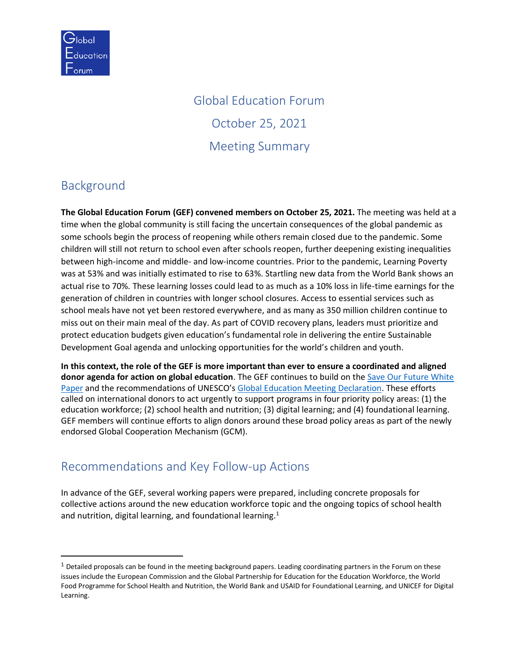

# Global Education Forum October 25, 2021 Meeting Summary

## Background

**The Global Education Forum (GEF) convened members on October 25, 2021.** The meeting was held at a time when the global community is still facing the uncertain consequences of the global pandemic as some schools begin the process of reopening while others remain closed due to the pandemic. Some children will still not return to school even after schools reopen, further deepening existing inequalities between high-income and middle- and low-income countries. Prior to the pandemic, Learning Poverty was at 53% and was initially estimated to rise to 63%. Startling new data from the World Bank shows an actual rise to 70%. These learning losses could lead to as much as a 10% loss in life-time earnings for the generation of children in countries with longer school closures. Access to essential services such as school meals have not yet been restored everywhere, and as many as 350 million children continue to miss out on their main meal of the day. As part of COVID recovery plans, leaders must prioritize and protect education budgets given education's fundamental role in delivering the entire Sustainable Development Goal agenda and unlocking opportunities for the world's children and youth.

**In this context, the role of the GEF is more important than ever to ensure a coordinated and aligned donor agenda for action on global education**. The GEF continues to build on the [Save Our Future White](https://saveourfuture.world/)  [Paper](https://saveourfuture.world/) and the recommendations of UNESCO's [Global Education Meeting Declaration.](https://unesdoc.unesco.org/ark:/48223/pf0000374704) These efforts called on international donors to act urgently to support programs in four priority policy areas: (1) the education workforce; (2) school health and nutrition; (3) digital learning; and (4) foundational learning. GEF members will continue efforts to align donors around these broad policy areas as part of the newly endorsed Global Cooperation Mechanism (GCM).

### Recommendations and Key Follow-up Actions

In advance of the GEF, several working papers were prepared, including concrete proposals for collective actions around the new education workforce topic and the ongoing topics of school health and nutrition, digital learning, and foundational learning.<sup>1</sup>

 $1$  Detailed proposals can be found in the meeting background papers. Leading coordinating partners in the Forum on these issues include the European Commission and the Global Partnership for Education for the Education Workforce, the World Food Programme for School Health and Nutrition, the World Bank and USAID for Foundational Learning, and UNICEF for Digital Learning.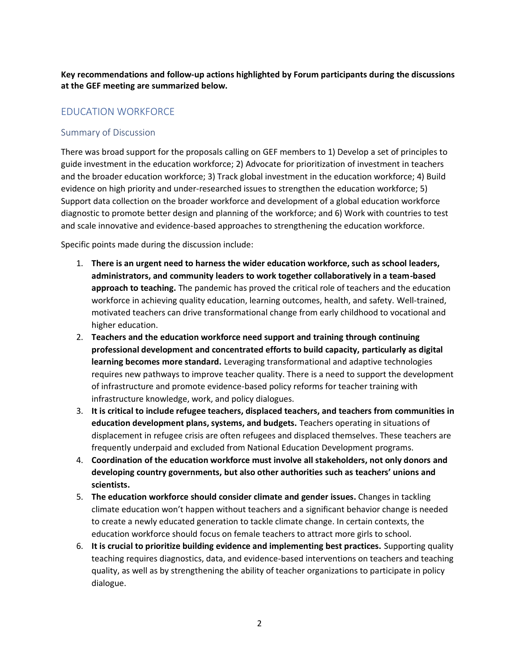**Key recommendations and follow-up actions highlighted by Forum participants during the discussions at the GEF meeting are summarized below.**

#### EDUCATION WORKFORCE

#### Summary of Discussion

There was broad support for the proposals calling on GEF members to 1) Develop a set of principles to guide investment in the education workforce; 2) Advocate for prioritization of investment in teachers and the broader education workforce; 3) Track global investment in the education workforce; 4) Build evidence on high priority and under-researched issues to strengthen the education workforce; 5) Support data collection on the broader workforce and development of a global education workforce diagnostic to promote better design and planning of the workforce; and 6) Work with countries to test and scale innovative and evidence-based approaches to strengthening the education workforce.

Specific points made during the discussion include:

- 1. **There is an urgent need to harness the wider education workforce, such as school leaders, administrators, and community leaders to work together collaboratively in a team-based approach to teaching.** The pandemic has proved the critical role of teachers and the education workforce in achieving quality education, learning outcomes, health, and safety. Well-trained, motivated teachers can drive transformational change from early childhood to vocational and higher education.
- 2. **Teachers and the education workforce need support and training through continuing professional development and concentrated efforts to build capacity, particularly as digital learning becomes more standard.** Leveraging transformational and adaptive technologies requires new pathways to improve teacher quality. There is a need to support the development of infrastructure and promote evidence-based policy reforms for teacher training with infrastructure knowledge, work, and policy dialogues.
- 3. **It is critical to include refugee teachers, displaced teachers, and teachers from communities in education development plans, systems, and budgets.** Teachers operating in situations of displacement in refugee crisis are often refugees and displaced themselves. These teachers are frequently underpaid and excluded from National Education Development programs.
- 4. **Coordination of the education workforce must involve all stakeholders, not only donors and developing country governments, but also other authorities such as teachers' unions and scientists.**
- 5. **The education workforce should consider climate and gender issues.** Changes in tackling climate education won't happen without teachers and a significant behavior change is needed to create a newly educated generation to tackle climate change. In certain contexts, the education workforce should focus on female teachers to attract more girls to school.
- 6. **It is crucial to prioritize building evidence and implementing best practices.** Supporting quality teaching requires diagnostics, data, and evidence-based interventions on teachers and teaching quality, as well as by strengthening the ability of teacher organizations to participate in policy dialogue.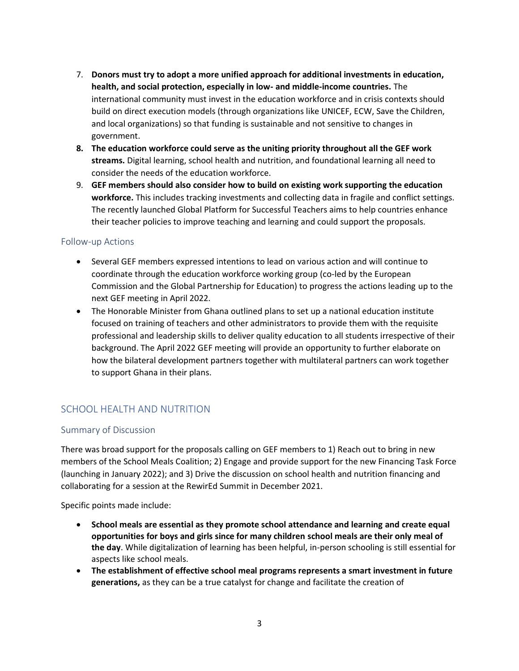- 7. **Donors must try to adopt a more unified approach for additional investments in education, health, and social protection, especially in low- and middle-income countries.** The international community must invest in the education workforce and in crisis contexts should build on direct execution models (through organizations like UNICEF, ECW, Save the Children, and local organizations) so that funding is sustainable and not sensitive to changes in government.
- **8. The education workforce could serve as the uniting priority throughout all the GEF work streams.** Digital learning, school health and nutrition, and foundational learning all need to consider the needs of the education workforce.
- 9. **GEF members should also consider how to build on existing work supporting the education workforce.** This includes tracking investments and collecting data in fragile and conflict settings. The recently launched Global Platform for Successful Teachers aims to help countries enhance their teacher policies to improve teaching and learning and could support the proposals.

#### Follow-up Actions

- Several GEF members expressed intentions to lead on various action and will continue to coordinate through the education workforce working group (co-led by the European Commission and the Global Partnership for Education) to progress the actions leading up to the next GEF meeting in April 2022.
- The Honorable Minister from Ghana outlined plans to set up a national education institute focused on training of teachers and other administrators to provide them with the requisite professional and leadership skills to deliver quality education to all students irrespective of their background. The April 2022 GEF meeting will provide an opportunity to further elaborate on how the bilateral development partners together with multilateral partners can work together to support Ghana in their plans.

#### SCHOOL HEALTH AND NUTRITION

#### Summary of Discussion

There was broad support for the proposals calling on GEF members to 1) Reach out to bring in new members of the School Meals Coalition; 2) Engage and provide support for the new Financing Task Force (launching in January 2022); and 3) Drive the discussion on school health and nutrition financing and collaborating for a session at the RewirEd Summit in December 2021.

Specific points made include:

- **School meals are essential as they promote school attendance and learning and create equal opportunities for boys and girls since for many children school meals are their only meal of the day**. While digitalization of learning has been helpful, in-person schooling is still essential for aspects like school meals.
- **The establishment of effective school meal programs represents a smart investment in future generations,** as they can be a true catalyst for change and facilitate the creation of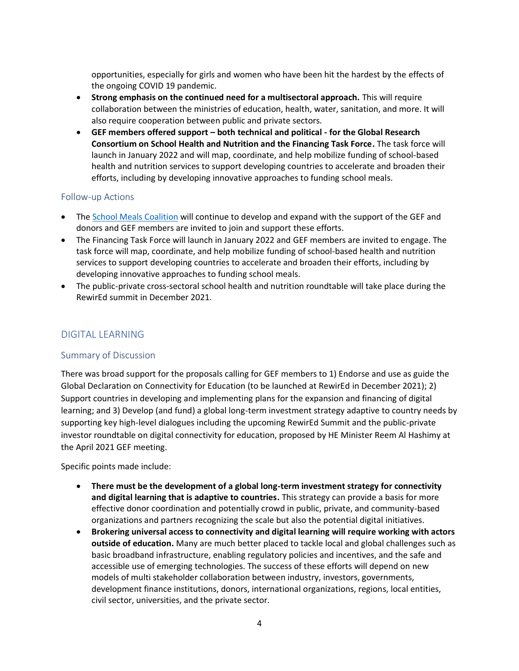opportunities, especially for girls and women who have been hit the hardest by the effects of the ongoing COVID 19 pandemic.

- **Strong emphasis on the continued need for a multisectoral approach.** This will require collaboration between the ministries of education, health, water, sanitation, and more. It will also require cooperation between public and private sectors.
- **GEF members offered support – both technical and political - for the Global Research Consortium on School Health and Nutrition and the Financing Task Force.** The task force will launch in January 2022 and will map, coordinate, and help mobilize funding of school-based health and nutrition services to support developing countries to accelerate and broaden their efforts, including by developing innovative approaches to funding school meals.

#### Follow-up Actions

- The [School Meals Coalition](https://schoolmealscoalition.org/) will continue to develop and expand with the support of the GEF and donors and GEF members are invited to join and support these efforts.
- The Financing Task Force will launch in January 2022 and GEF members are invited to engage. The task force will map, coordinate, and help mobilize funding of school-based health and nutrition services to support developing countries to accelerate and broaden their efforts, including by developing innovative approaches to funding school meals.
- The public-private cross-sectoral school health and nutrition roundtable will take place during the RewirEd summit in December 2021.

#### DIGITAL LEARNING

#### Summary of Discussion

There was broad support for the proposals calling for GEF members to 1) Endorse and use as guide the Global Declaration on Connectivity for Education (to be launched at RewirEd in December 2021); 2) Support countries in developing and implementing plans for the expansion and financing of digital learning; and 3) Develop (and fund) a global long-term investment strategy adaptive to country needs by supporting key high-level dialogues including the upcoming RewirEd Summit and the public-private investor roundtable on digital connectivity for education, proposed by HE Minister Reem Al Hashimy at the April 2021 GEF meeting.

Specific points made include:

- **There must be the development of a global long-term investment strategy for connectivity and digital learning that is adaptive to countries.** This strategy can provide a basis for more effective donor coordination and potentially crowd in public, private, and community-based organizations and partners recognizing the scale but also the potential digital initiatives.
- **Brokering universal access to connectivity and digital learning will require working with actors outside of education.** Many are much better placed to tackle local and global challenges such as basic broadband infrastructure, enabling regulatory policies and incentives, and the safe and accessible use of emerging technologies. The success of these efforts will depend on new models of multi stakeholder collaboration between industry, investors, governments, development finance institutions, donors, international organizations, regions, local entities, civil sector, universities, and the private sector.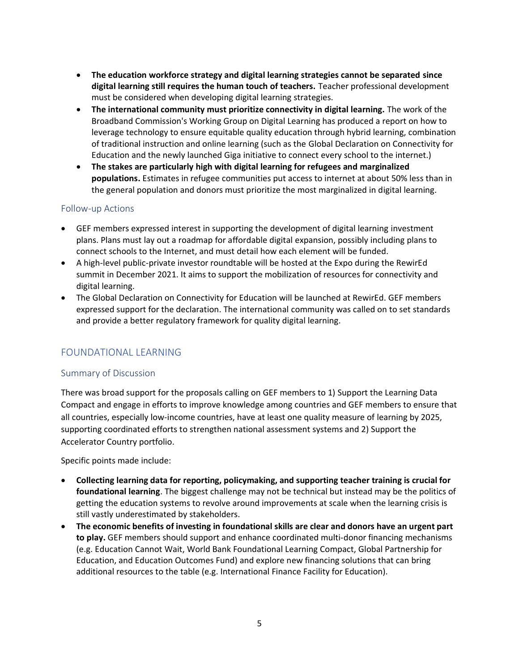- **The education workforce strategy and digital learning strategies cannot be separated since digital learning still requires the human touch of teachers.** Teacher professional development must be considered when developing digital learning strategies.
- **The international community must prioritize connectivity in digital learning.** The work of the Broadband Commission's Working Group on Digital Learning has produced a report on how to leverage technology to ensure equitable quality education through hybrid learning, combination of traditional instruction and online learning (such as the Global Declaration on Connectivity for Education and the newly launched Giga initiative to connect every school to the internet.)
- **The stakes are particularly high with digital learning for refugees and marginalized populations.** Estimates in refugee communities put access to internet at about 50% less than in the general population and donors must prioritize the most marginalized in digital learning.

#### Follow-up Actions

- GEF members expressed interest in supporting the development of digital learning investment plans. Plans must lay out a roadmap for affordable digital expansion, possibly including plans to connect schools to the Internet, and must detail how each element will be funded.
- A high-level public-private investor roundtable will be hosted at the Expo during the RewirEd summit in December 2021. It aims to support the mobilization of resources for connectivity and digital learning.
- The Global Declaration on Connectivity for Education will be launched at RewirEd. GEF members expressed support for the declaration. The international community was called on to set standards and provide a better regulatory framework for quality digital learning.

#### FOUNDATIONAL LEARNING

#### Summary of Discussion

There was broad support for the proposals calling on GEF members to 1) Support the Learning Data Compact and engage in efforts to improve knowledge among countries and GEF members to ensure that all countries, especially low-income countries, have at least one quality measure of learning by 2025, supporting coordinated efforts to strengthen national assessment systems and 2) Support the Accelerator Country portfolio.

Specific points made include:

- **Collecting learning data for reporting, policymaking, and supporting teacher training is crucial for foundational learning**. The biggest challenge may not be technical but instead may be the politics of getting the education systems to revolve around improvements at scale when the learning crisis is still vastly underestimated by stakeholders.
- **The economic benefits of investing in foundational skills are clear and donors have an urgent part to play.** GEF members should support and enhance coordinated multi-donor financing mechanisms (e.g. Education Cannot Wait, World Bank Foundational Learning Compact, Global Partnership for Education, and Education Outcomes Fund) and explore new financing solutions that can bring additional resources to the table (e.g. International Finance Facility for Education).